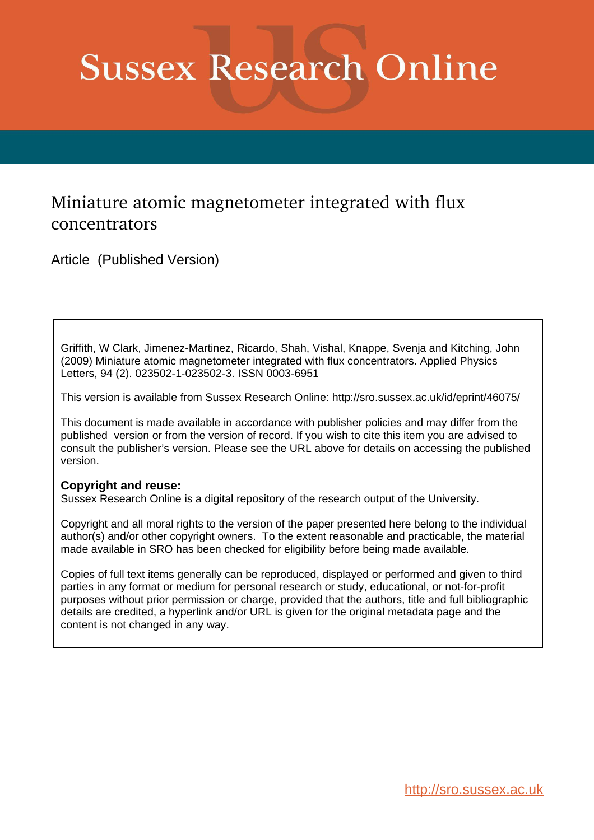# **Sussex Research Online**

# Miniature atomic magnetometer integrated with flux concentrators

Article (Published Version)

Griffith, W Clark, Jimenez-Martinez, Ricardo, Shah, Vishal, Knappe, Svenja and Kitching, John (2009) Miniature atomic magnetometer integrated with flux concentrators. Applied Physics Letters, 94 (2). 023502-1-023502-3. ISSN 0003-6951

This version is available from Sussex Research Online: http://sro.sussex.ac.uk/id/eprint/46075/

This document is made available in accordance with publisher policies and may differ from the published version or from the version of record. If you wish to cite this item you are advised to consult the publisher's version. Please see the URL above for details on accessing the published version.

#### **Copyright and reuse:**

Sussex Research Online is a digital repository of the research output of the University.

Copyright and all moral rights to the version of the paper presented here belong to the individual author(s) and/or other copyright owners. To the extent reasonable and practicable, the material made available in SRO has been checked for eligibility before being made available.

Copies of full text items generally can be reproduced, displayed or performed and given to third parties in any format or medium for personal research or study, educational, or not-for-profit purposes without prior permission or charge, provided that the authors, title and full bibliographic details are credited, a hyperlink and/or URL is given for the original metadata page and the content is not changed in any way.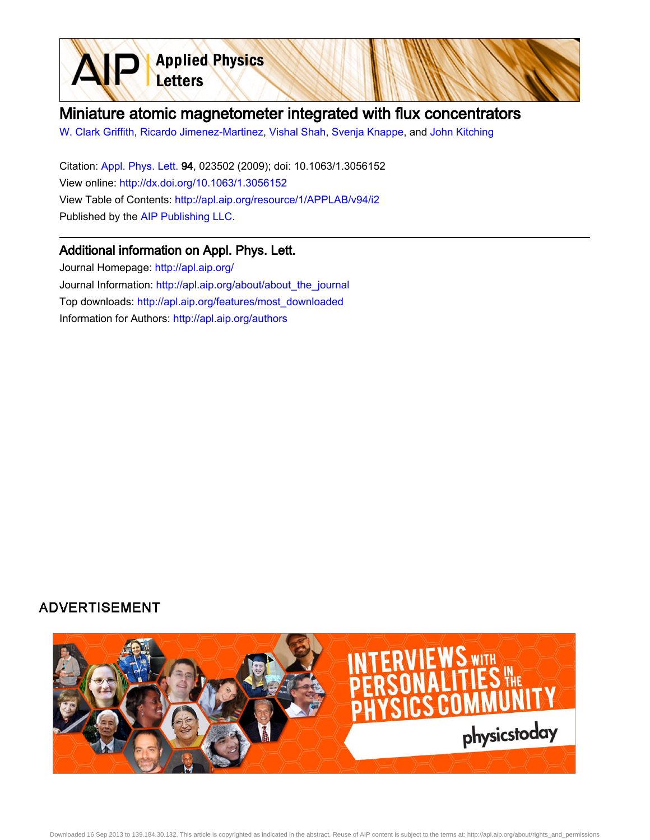

[W. Clark Griffith](http://apl.aip.org/search?sortby=newestdate&q=&searchzone=2&searchtype=searchin&faceted=faceted&key=AIP_ALL&possible1=W. Clark Griffith&possible1zone=author&alias=&displayid=AIP&ver=pdfcov), [Ricardo Jimenez-Martinez](http://apl.aip.org/search?sortby=newestdate&q=&searchzone=2&searchtype=searchin&faceted=faceted&key=AIP_ALL&possible1=Ricardo Jimenez-Martinez&possible1zone=author&alias=&displayid=AIP&ver=pdfcov), [Vishal Shah](http://apl.aip.org/search?sortby=newestdate&q=&searchzone=2&searchtype=searchin&faceted=faceted&key=AIP_ALL&possible1=Vishal Shah&possible1zone=author&alias=&displayid=AIP&ver=pdfcov), [Svenja Knappe](http://apl.aip.org/search?sortby=newestdate&q=&searchzone=2&searchtype=searchin&faceted=faceted&key=AIP_ALL&possible1=Svenja Knappe&possible1zone=author&alias=&displayid=AIP&ver=pdfcov), and [John Kitching](http://apl.aip.org/search?sortby=newestdate&q=&searchzone=2&searchtype=searchin&faceted=faceted&key=AIP_ALL&possible1=John Kitching&possible1zone=author&alias=&displayid=AIP&ver=pdfcov)

Citation: [Appl. Phys. Lett. 9](http://apl.aip.org/?ver=pdfcov)4, 023502 (2009); doi: 10.1063/1.3056152 View online: [http://dx.doi.org/10.1063/1.3056152](http://link.aip.org/link/doi/10.1063/1.3056152?ver=pdfcov) View Table of Contents: [http://apl.aip.org/resource/1/APPLAB/v94/i2](http://apl.aip.org/resource/1/APPLAB/v94/i2?ver=pdfcov) Published by the [AIP Publishing LLC.](http://www.aip.org/?ver=pdfcov)

**Applied Physics** 

Letters

#### Additional information on Appl. Phys. Lett.

Journal Homepage: [http://apl.aip.org/](http://apl.aip.org/?ver=pdfcov) Journal Information: [http://apl.aip.org/about/about\\_the\\_journal](http://apl.aip.org/about/about_the_journal?ver=pdfcov) Top downloads: [http://apl.aip.org/features/most\\_downloaded](http://apl.aip.org/features/most_downloaded?ver=pdfcov) Information for Authors: [http://apl.aip.org/authors](http://apl.aip.org/authors?ver=pdfcov)

## **ADVERTISEMENT**

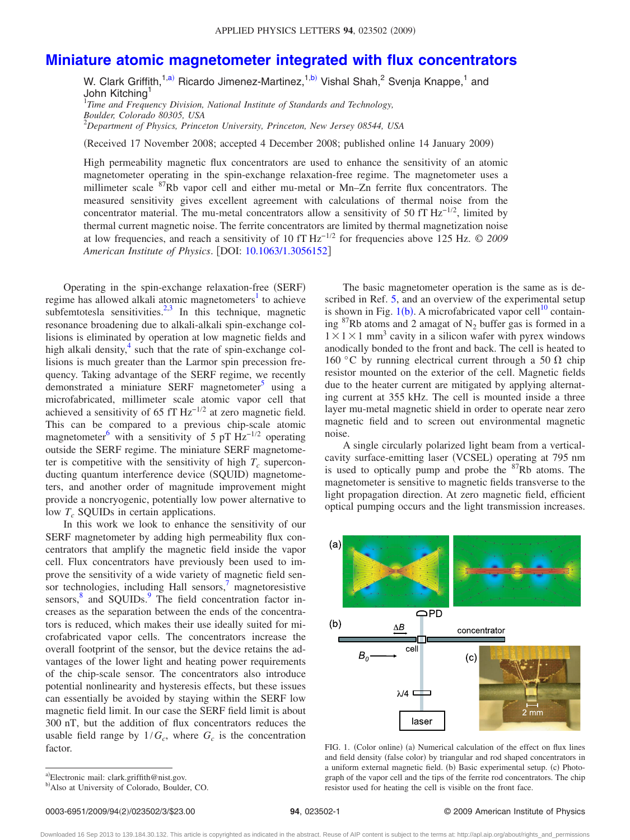## **[Miniature atomic magnetometer integrated with flux concentrators](http://dx.doi.org/10.1063/1.3056152)**

W. Clark Griffith,<sup>1[,a](#page-2-0))</sup> Ricardo Jimenez-Martinez,<sup>1[,b](#page-2-1))</sup> Vishal Shah,<sup>2</sup> Svenja Knappe,<sup>1</sup> and John Kitching<sup>1</sup> 1 *Time and Frequency Division, National Institute of Standards and Technology, Boulder, Colorado 80305, USA*

2 *Department of Physics, Princeton University, Princeton, New Jersey 08544, USA*

(Received 17 November 2008; accepted 4 December 2008; published online 14 January 2009)

High permeability magnetic flux concentrators are used to enhance the sensitivity of an atomic magnetometer operating in the spin-exchange relaxation-free regime. The magnetometer uses a millimeter scale  ${}^{87}$ Rb vapor cell and either mu-metal or Mn–Zn ferrite flux concentrators. The measured sensitivity gives excellent agreement with calculations of thermal noise from the concentrator material. The mu-metal concentrators allow a sensitivity of 50 fT  $Hz^{-1/2}$ , limited by thermal current magnetic noise. The ferrite concentrators are limited by thermal magnetization noise at low frequencies, and reach a sensitivity of 10 fT Hz−1/<sup>2</sup> for frequencies above 125 Hz. © *2009 American Institute of Physics*. DOI: [10.1063/1.3056152](http://dx.doi.org/10.1063/1.3056152)

Operating in the spin-exchange relaxation-free (SERF) regime has allowed alkali atomic magnetometers<sup>1</sup> to achieve subfemtotesla sensitivities. $2,3$  $2,3$  In this technique, magnetic resonance broadening due to alkali-alkali spin-exchange collisions is eliminated by operation at low magnetic fields and high alkali density, $4$  such that the rate of spin-exchange collisions is much greater than the Larmor spin precession frequency. Taking advantage of the SERF regime, we recently demonstrated a miniature SERF magnetometer<sup>5</sup> using a microfabricated, millimeter scale atomic vapor cell that achieved a sensitivity of 65 fT  $Hz^{-1/2}$  at zero magnetic field. This can be compared to a previous chip-scale atomic magnetometer<sup>6</sup> with a sensitivity of 5 pT  $\text{Hz}^{-1/2}$  operating outside the SERF regime. The miniature SERF magnetometer is competitive with the sensitivity of high  $T_c$  superconducting quantum interference device (SQUID) magnetometers, and another order of magnitude improvement might provide a noncryogenic, potentially low power alternative to low  $T_c$  SQUIDs in certain applications.

In this work we look to enhance the sensitivity of our SERF magnetometer by adding high permeability flux concentrators that amplify the magnetic field inside the vapor cell. Flux concentrators have previously been used to improve the sensitivity of a wide variety of magnetic field sensor technologies, including Hall sensors, $\frac{7}{1}$  magnetoresistive sensors,<sup>[8](#page-4-7)</sup> and SQUIDs.<sup>9</sup> The field concentration factor increases as the separation between the ends of the concentrators is reduced, which makes their use ideally suited for microfabricated vapor cells. The concentrators increase the overall footprint of the sensor, but the device retains the advantages of the lower light and heating power requirements of the chip-scale sensor. The concentrators also introduce potential nonlinearity and hysteresis effects, but these issues can essentially be avoided by staying within the SERF low magnetic field limit. In our case the SERF field limit is about 300 nT, but the addition of flux concentrators reduces the usable field range by  $1/G_c$ , where  $G_c$  is the concentration factor.

The basic magnetometer operation is the same as is described in Ref. [5,](#page-4-4) and an overview of the experimental setup is shown in Fig.  $1(b)$  $1(b)$ . A microfabricated vapor cell<sup>10</sup> containing  ${}^{87}$ Rb atoms and 2 amagat of N<sub>2</sub> buffer gas is formed in a  $1 \times 1 \times 1$  mm<sup>3</sup> cavity in a silicon wafer with pyrex windows anodically bonded to the front and back. The cell is heated to 160 °C by running electrical current through a 50  $\Omega$  chip resistor mounted on the exterior of the cell. Magnetic fields due to the heater current are mitigated by applying alternating current at 355 kHz. The cell is mounted inside a three layer mu-metal magnetic shield in order to operate near zero magnetic field and to screen out environmental magnetic noise.

A single circularly polarized light beam from a verticalcavity surface-emitting laser (VCSEL) operating at 795 nm is used to optically pump and probe the  ${}^{87}Rb$  atoms. The magnetometer is sensitive to magnetic fields transverse to the light propagation direction. At zero magnetic field, efficient optical pumping occurs and the light transmission increases.

<span id="page-2-2"></span>

FIG. 1. (Color online) (a) Numerical calculation of the effect on flux lines and field density (false color) by triangular and rod shaped concentrators in a uniform external magnetic field. (b) Basic experimental setup. (c) Photograph of the vapor cell and the tips of the ferrite rod concentrators. The chip resistor used for heating the cell is visible on the front face.

Downloaded 16 Sep 2013 to 139.184.30.132. This article is copyrighted as indicated in the abstract. Reuse of AIP content is subject to the terms at: http://apl.aip.org/about/rights\_and\_permissions

<span id="page-2-1"></span><span id="page-2-0"></span>a)Electronic mail: clark.griffith@nist.gov.

b) Also at University of Colorado, Boulder, CO.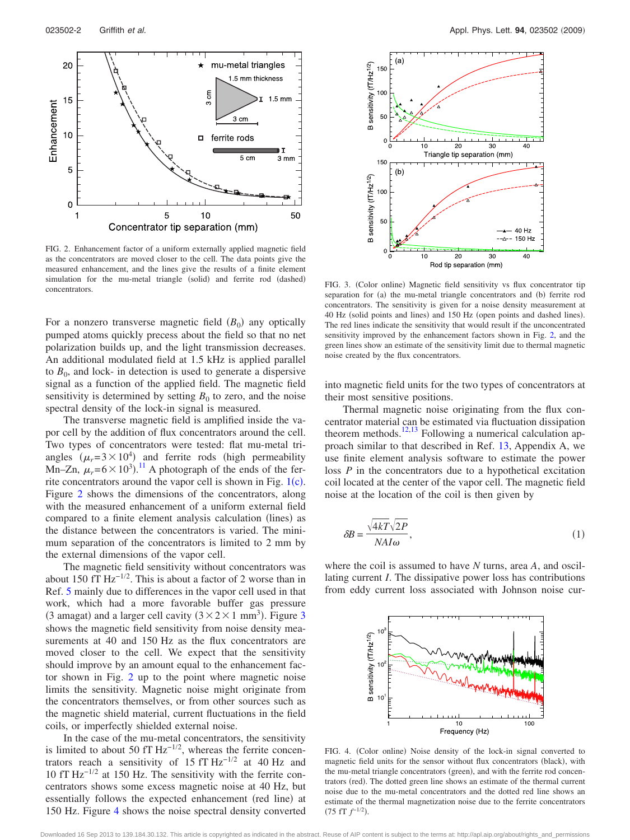<span id="page-3-0"></span>

FIG. 2. Enhancement factor of a uniform externally applied magnetic field as the concentrators are moved closer to the cell. The data points give the measured enhancement, and the lines give the results of a finite element simulation for the mu-metal triangle (solid) and ferrite rod (dashed) FIG. 3. (Color online) concentrators.

For a nonzero transverse magnetic field  $(B_0)$  any optically pumped atoms quickly precess about the field so that no net polarization builds up, and the light transmission decreases. An additional modulated field at 1.5 kHz is applied parallel to  $B_0$ , and lock- in detection is used to generate a dispersive signal as a function of the applied field. The magnetic field sensitivity is determined by setting  $B_0$  to zero, and the noise spectral density of the lock-in signal is measured.

The transverse magnetic field is amplified inside the vapor cell by the addition of flux concentrators around the cell. Two types of concentrators were tested: flat mu-metal triangles  $(\mu_r = 3 \times 10^4)$  and ferrite rods (high permeability Mn–Zn,  $\mu_r = 6 \times 10^3$ .<sup>[11](#page-4-10)</sup> A photograph of the ends of the ferrite concentrators around the vapor cell is shown in Fig.  $1(c)$  $1(c)$ . Figure [2](#page-3-0) shows the dimensions of the concentrators, along with the measured enhancement of a uniform external field compared to a finite element analysis calculation (lines) as the distance between the concentrators is varied. The minimum separation of the concentrators is limited to 2 mm by the external dimensions of the vapor cell.

The magnetic field sensitivity without concentrators was about 150 fT  $Hz^{-1/2}$ . This is about a factor of 2 worse than in Ref. [5](#page-4-4) mainly due to differences in the vapor cell used in that work, which had a more favorable buffer gas pressure ([3](#page-3-1) amagat) and a larger cell cavity  $(3 \times 2 \times 1 \text{ mm}^3)$ . Figure 3 shows the magnetic field sensitivity from noise density measurements at 40 and 150 Hz as the flux concentrators are moved closer to the cell. We expect that the sensitivity should improve by an amount equal to the enhancement factor shown in Fig. [2](#page-3-0) up to the point where magnetic noise limits the sensitivity. Magnetic noise might originate from the concentrators themselves, or from other sources such as the magnetic shield material, current fluctuations in the field coils, or imperfectly shielded external noise.

In the case of the mu-metal concentrators, the sensitivity is limited to about 50 fT  $Hz^{-1/2}$ , whereas the ferrite concentrators reach a sensitivity of 15 fT  $Hz^{-1/2}$  at 40 Hz and 10 fT Hz−1/<sup>2</sup> at 150 Hz. The sensitivity with the ferrite concentrators shows some excess magnetic noise at 40 Hz, but essentially follows the expected enhancement (red line) at 150 Hz. Figure [4](#page-3-2) shows the noise spectral density converted

<span id="page-3-1"></span>

FIG. 3. (Color online) Magnetic field sensitivity vs flux concentrator tip separation for (a) the mu-metal triangle concentrators and (b) ferrite rod concentrators. The sensitivity is given for a noise density measurement at 40 Hz (solid points and lines) and 150 Hz (open points and dashed lines). The red lines indicate the sensitivity that would result if the unconcentrated sensitivity improved by the enhancement factors shown in Fig. [2,](#page-3-0) and the green lines show an estimate of the sensitivity limit due to thermal magnetic noise created by the flux concentrators.

into magnetic field units for the two types of concentrators at their most sensitive positions.

Thermal magnetic noise originating from the flux concentrator material can be estimated via fluctuation dissipation theorem methods.<sup>12[,13](#page-4-12)</sup> Following a numerical calculation approach similar to that described in Ref. [13,](#page-4-12) Appendix A, we use finite element analysis software to estimate the power loss *P* in the concentrators due to a hypothetical excitation coil located at the center of the vapor cell. The magnetic field noise at the location of the coil is then given by

$$
\delta B = \frac{\sqrt{4kT}\sqrt{2P}}{NAI\omega},\tag{1}
$$

<span id="page-3-2"></span>where the coil is assumed to have *N* turns, area *A*, and oscillating current *I*. The dissipative power loss has contributions from eddy current loss associated with Johnson noise cur-



FIG. 4. (Color online) Noise density of the lock-in signal converted to magnetic field units for the sensor without flux concentrators (black), with the mu-metal triangle concentrators (green), and with the ferrite rod concentrators (red). The dotted green line shows an estimate of the thermal current noise due to the mu-metal concentrators and the dotted red line shows an estimate of the thermal magnetization noise due to the ferrite concentrators  $(75$  fT  $f^{-1/2}$ ).